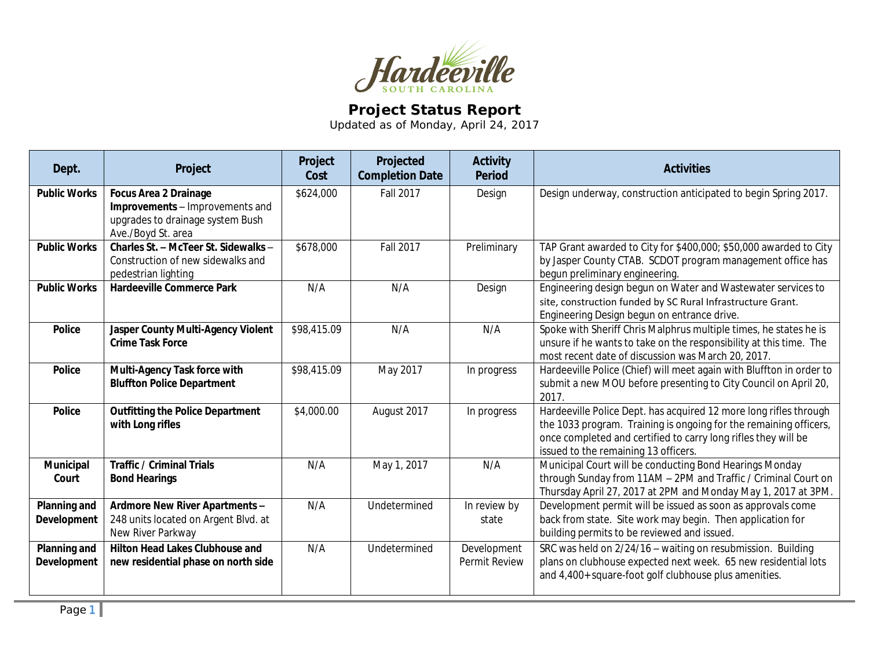

## **Project Status Report**

Updated as of Monday, April 24, 2017

| Dept.                              | Project                                                                                                                   | Project<br>Cost | Projected<br><b>Completion Date</b> | <b>Activity</b><br><b>Period</b> | <b>Activities</b>                                                                                                                                                                                                                                |
|------------------------------------|---------------------------------------------------------------------------------------------------------------------------|-----------------|-------------------------------------|----------------------------------|--------------------------------------------------------------------------------------------------------------------------------------------------------------------------------------------------------------------------------------------------|
| <b>Public Works</b>                | <b>Focus Area 2 Drainage</b><br>Improvements - Improvements and<br>upgrades to drainage system Bush<br>Ave./Boyd St. area | \$624,000       | <b>Fall 2017</b>                    | Design                           | Design underway, construction anticipated to begin Spring 2017.                                                                                                                                                                                  |
| <b>Public Works</b>                | Charles St. - McTeer St. Sidewalks -<br>Construction of new sidewalks and<br>pedestrian lighting                          | \$678,000       | <b>Fall 2017</b>                    | Preliminary                      | TAP Grant awarded to City for \$400,000; \$50,000 awarded to City<br>by Jasper County CTAB. SCDOT program management office has<br>begun preliminary engineering.                                                                                |
| <b>Public Works</b>                | <b>Hardeeville Commerce Park</b>                                                                                          | N/A             | N/A                                 | Design                           | Engineering design begun on Water and Wastewater services to<br>site, construction funded by SC Rural Infrastructure Grant.<br>Engineering Design begun on entrance drive.                                                                       |
| <b>Police</b>                      | Jasper County Multi-Agency Violent<br><b>Crime Task Force</b>                                                             | \$98,415.09     | N/A                                 | N/A                              | Spoke with Sheriff Chris Malphrus multiple times, he states he is<br>unsure if he wants to take on the responsibility at this time. The<br>most recent date of discussion was March 20, 2017.                                                    |
| <b>Police</b>                      | Multi-Agency Task force with<br><b>Bluffton Police Department</b>                                                         | \$98,415.09     | May 2017                            | In progress                      | Hardeeville Police (Chief) will meet again with Bluffton in order to<br>submit a new MOU before presenting to City Council on April 20,<br>2017.                                                                                                 |
| <b>Police</b>                      | <b>Outfitting the Police Department</b><br>with Long rifles                                                               | \$4,000.00      | August 2017                         | In progress                      | Hardeeville Police Dept. has acquired 12 more long rifles through<br>the 1033 program. Training is ongoing for the remaining officers,<br>once completed and certified to carry long rifles they will be<br>issued to the remaining 13 officers. |
| Municipal<br>Court                 | <b>Traffic / Criminal Trials</b><br><b>Bond Hearings</b>                                                                  | N/A             | May 1, 2017                         | N/A                              | Municipal Court will be conducting Bond Hearings Monday<br>through Sunday from 11AM - 2PM and Traffic / Criminal Court on<br>Thursday April 27, 2017 at 2PM and Monday May 1, 2017 at 3PM.                                                       |
| Planning and<br><b>Development</b> | Ardmore New River Apartments -<br>248 units located on Argent Blvd. at<br>New River Parkway                               | N/A             | Undetermined                        | In review by<br>state            | Development permit will be issued as soon as approvals come<br>back from state. Site work may begin. Then application for<br>building permits to be reviewed and issued.                                                                         |
| <b>Planning and</b><br>Development | <b>Hilton Head Lakes Clubhouse and</b><br>new residential phase on north side                                             | N/A             | Undetermined                        | Development<br>Permit Review     | SRC was held on 2/24/16 - waiting on resubmission. Building<br>plans on clubhouse expected next week. 65 new residential lots<br>and 4,400+ square-foot golf clubhouse plus amenities.                                                           |